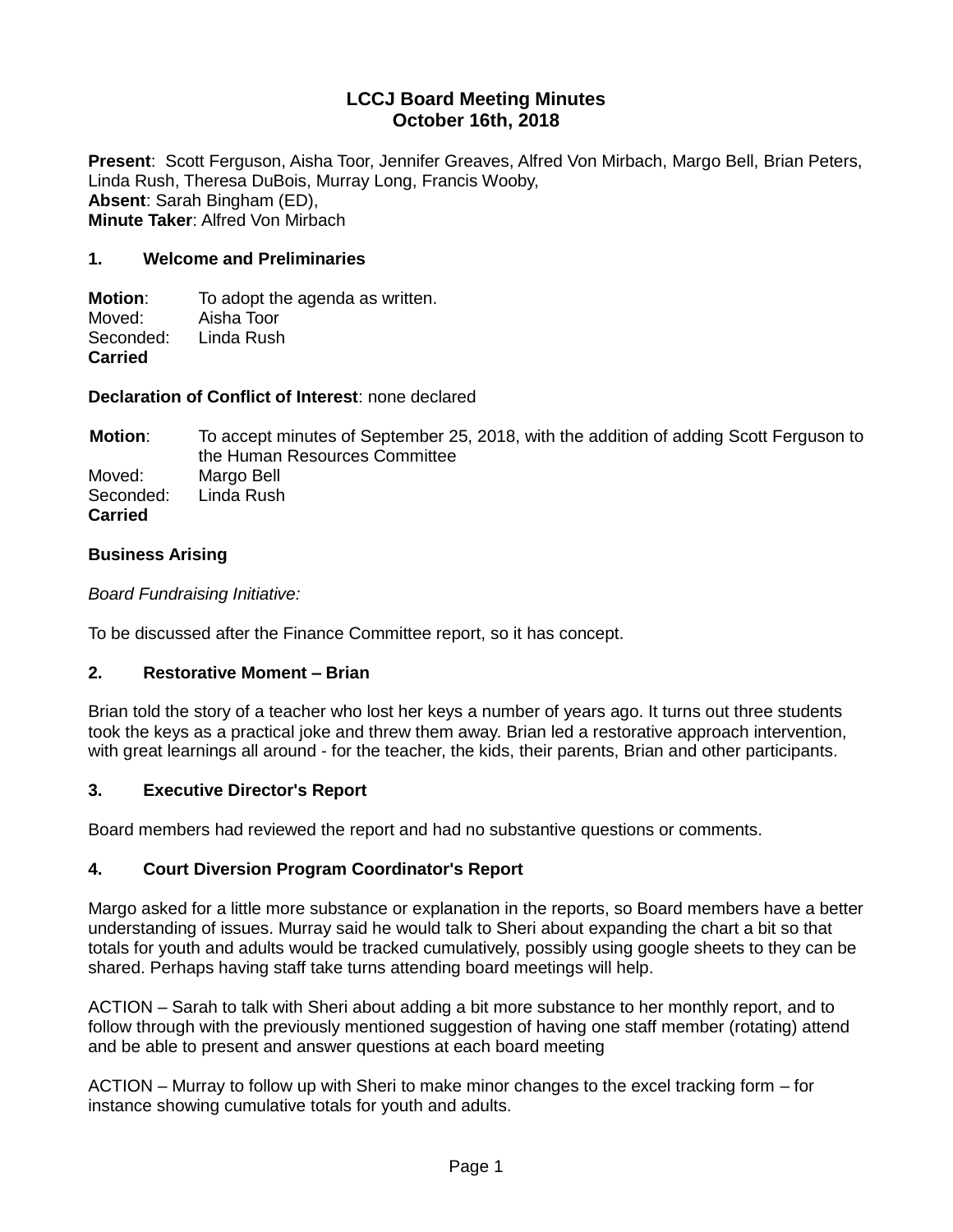## **LCCJ Board Meeting Minutes October 16th, 2018**

**Present**: Scott Ferguson, Aisha Toor, Jennifer Greaves, Alfred Von Mirbach, Margo Bell, Brian Peters, Linda Rush, Theresa DuBois, Murray Long, Francis Wooby, **Absent**: Sarah Bingham (ED), **Minute Taker**: Alfred Von Mirbach

#### **1. Welcome and Preliminaries**

**Motion:** To adopt the agenda as written. Moved: Aisha Toor Seconded: Linda Rush **Carried**

**Declaration of Conflict of Interest**: none declared

**Motion**: To accept minutes of September 25, 2018, with the addition of adding Scott Ferguson to the Human Resources Committee Moved: Margo Bell Seconded: Linda Rush **Carried**

#### **Business Arising**

*Board Fundraising Initiative:*

To be discussed after the Finance Committee report, so it has concept.

#### **2. Restorative Moment – Brian**

Brian told the story of a teacher who lost her keys a number of years ago. It turns out three students took the keys as a practical joke and threw them away. Brian led a restorative approach intervention, with great learnings all around - for the teacher, the kids, their parents, Brian and other participants.

#### **3. Executive Director's Report**

Board members had reviewed the report and had no substantive questions or comments.

#### **4. Court Diversion Program Coordinator's Report**

Margo asked for a little more substance or explanation in the reports, so Board members have a better understanding of issues. Murray said he would talk to Sheri about expanding the chart a bit so that totals for youth and adults would be tracked cumulatively, possibly using google sheets to they can be shared. Perhaps having staff take turns attending board meetings will help.

ACTION – Sarah to talk with Sheri about adding a bit more substance to her monthly report, and to follow through with the previously mentioned suggestion of having one staff member (rotating) attend and be able to present and answer questions at each board meeting

ACTION – Murray to follow up with Sheri to make minor changes to the excel tracking form – for instance showing cumulative totals for youth and adults.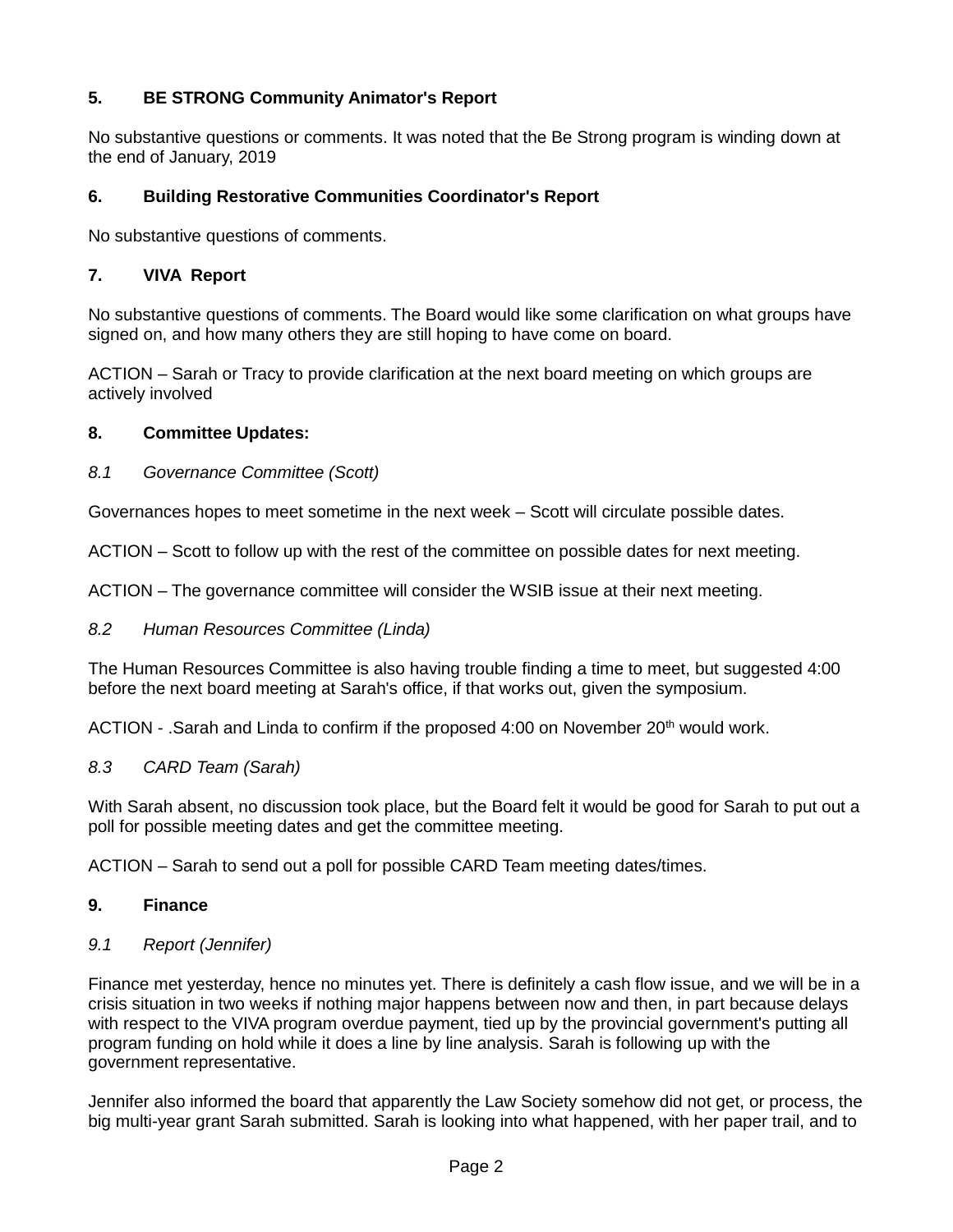# **5. BE STRONG Community Animator's Report**

No substantive questions or comments. It was noted that the Be Strong program is winding down at the end of January, 2019

### **6. Building Restorative Communities Coordinator's Report**

No substantive questions of comments.

### **7. VIVA Report**

No substantive questions of comments. The Board would like some clarification on what groups have signed on, and how many others they are still hoping to have come on board.

ACTION – Sarah or Tracy to provide clarification at the next board meeting on which groups are actively involved

#### **8. Committee Updates:**

#### *8.1 Governance Committee (Scott)*

Governances hopes to meet sometime in the next week – Scott will circulate possible dates.

ACTION – Scott to follow up with the rest of the committee on possible dates for next meeting.

ACTION – The governance committee will consider the WSIB issue at their next meeting.

#### *8.2 Human Resources Committee (Linda)*

The Human Resources Committee is also having trouble finding a time to meet, but suggested 4:00 before the next board meeting at Sarah's office, if that works out, given the symposium.

ACTION - .Sarah and Linda to confirm if the proposed 4:00 on November 20<sup>th</sup> would work.

#### *8.3 CARD Team (Sarah)*

With Sarah absent, no discussion took place, but the Board felt it would be good for Sarah to put out a poll for possible meeting dates and get the committee meeting.

ACTION – Sarah to send out a poll for possible CARD Team meeting dates/times.

#### **9. Finance**

#### *9.1 Report (Jennifer)*

Finance met yesterday, hence no minutes yet. There is definitely a cash flow issue, and we will be in a crisis situation in two weeks if nothing major happens between now and then, in part because delays with respect to the VIVA program overdue payment, tied up by the provincial government's putting all program funding on hold while it does a line by line analysis. Sarah is following up with the government representative.

Jennifer also informed the board that apparently the Law Society somehow did not get, or process, the big multi-year grant Sarah submitted. Sarah is looking into what happened, with her paper trail, and to